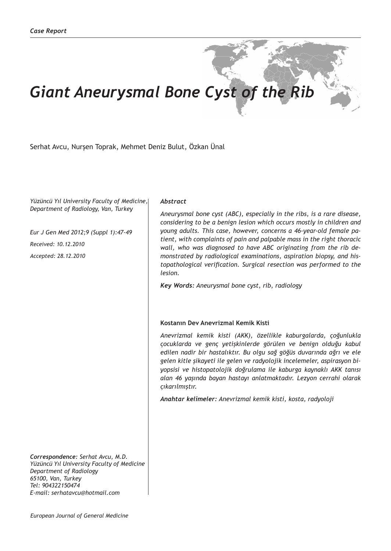# *Giant Aneurysmal Bone Cyst of the Rib*

Serhat Avcu, Nurşen Toprak, Mehmet Deniz Bulut, Özkan Ünal

*Yüzüncü Yıl University Faculty of Medicine, Department of Radiology, Van, Turkey*

*Eur J Gen Med 2012;9 (Suppl 1):47-49 Received: 10.12.2010 Accepted: 28.12.2010*

*Correspondence: Serhat Avcu, M.D. Yüzüncü Yıl University Faculty of Medicine Department of Radiology 65100, Van, Turkey Tel: 904322150474 E-mail: serhatavcu@hotmail.com*

*European Journal of General Medicine*

### *Abstract*

*Aneurysmal bone cyst (ABC), especially in the ribs, is a rare disease, considering to be a benign lesion which occurs mostly in children and young adults. This case, however, concerns a 46-year-old female patient, with complaints of pain and palpable mass in the right thoracic wall, who was diagnosed to have ABC originating from the rib demonstrated by radiological examinations, aspiration biopsy, and histopathological verification. Surgical resection was performed to the lesion.* 

*Key Words: Aneurysmal bone cyst, rib, radiology*

#### **Kostanın Dev Anevrizmal Kemik Kisti**

*Anevrizmal kemik kisti (AKK), özellikle kaburgalarda, çoğunlukla çocuklarda ve genç yetişkinlerde görülen ve benign olduğu kabul edilen nadir bir hastalıktır. Bu olgu sağ göğüs duvarında ağrı ve ele gelen kitle şikayeti ile gelen ve radyolojik incelemeler, aspirasyon biyopsisi ve histopatolojik doğrulama ile kaburga kaynaklı AKK tanısı alan 46 yaşında bayan hastayı anlatmaktadır. Lezyon cerrahi olarak çıkarılmıştır.*

*Anahtar kelimeler: Anevrizmal kemik kisti, kosta, radyoloji*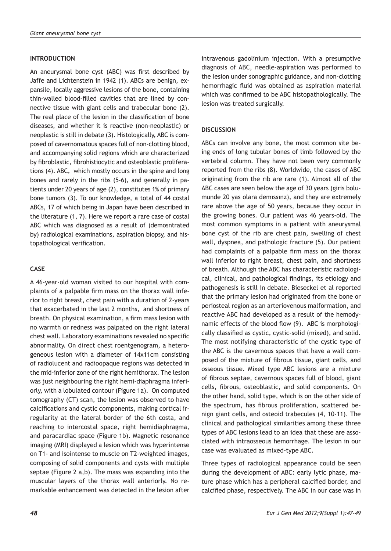#### **INTRODUCTION**

An aneurysmal bone cyst (ABC) was first described by Jaffe and Lichtenstein in 1942 (1). ABCs are benign, expansile, locally aggressive lesions of the bone, containing thin-walled blood-filled cavities that are lined by connective tissue with giant cells and trabecular bone (2). The real place of the lesion in the classification of bone diseases, and whether it is reactive (non-neoplastic) or neoplastic is still in debate (3). Histologically, ABC is composed of cavernomatous spaces full of non-clotting blood, and accompanying solid regions which are characterized by fibroblastic, fibrohistiocytic and osteoblastic proliferations (4). ABC, which mostly occurs in the spine and long bones and rarely in the ribs (5-6), and generally in patients under 20 years of age (2), constitutes 1% of primary bone tumors (3). To our knowledge, a total of 44 costal ABCs, 17 of which being in Japan have been described in the literature (1, 7). Here we report a rare case of costal ABC which was diagnosed as a result of (demosntrated by) radiological examinations, aspiration biopsy, and histopathological verification.

## **CASE**

A 46-year-old woman visited to our hospital with complaints of a palpable firm mass on the thorax wall inferior to right breast, chest pain with a duration of 2-years that exacerbated in the last 2 months, and shortness of breath. On physical examination, a firm mass lesion with no warmth or redness was palpated on the right lateral chest wall. Laboratory examinations revealed no specific abnormality. On direct chest roentgenogram, a heterogeneous lesion with a diameter of 14x11cm consisting of radiolucent and radioopaque regions was detected in the mid-inferior zone of the right hemithorax. The lesion was just neighbouring the right hemi-diaphragma inferiorly, with a lobulated contour (Figure 1a). On computed tomography (CT) scan, the lesion was observed to have calcifications and cystic components, making cortical irregularity at the lateral border of the 6th costa, and reaching to intercostal space, right hemidiaphragma, and paracardiac space (Figure 1b). Magnetic resonance imaging (MRI) displayed a lesion which was hyperintense on T1- and isointense to muscle on T2-weighted images, composing of solid components and cysts with multiple septae (Figure 2 a,b). The mass was expanding into the muscular layers of the thorax wall anteriorly. No remarkable enhancement was detected in the lesion after intravenous gadolinium injection. With a presumptive diagnosis of ABC, needle-aspiration was performed to the lesion under sonographic guidance, and non-clotting hemorrhagic fluid was obtained as aspiration material which was confirmed to be ABC histopathologically. The lesion was treated surgically.

#### **DISCUSSION**

ABCs can involve any bone, the most common site being ends of long tubular bones of limb followed by the vertebral column. They have not been very commonly reported from the ribs (8). Worldwide, the cases of ABC originating from the rib are rare (1). Almost all of the ABC cases are seen below the age of 30 years (giris bolumunde 20 yas olara demıssınz), and they are extremely rare above the age of 50 years, because they occur in the growing bones. Our patient was 46 years-old. The most common symptoms in a patient with aneurysmal bone cyst of the rib are chest pain, swelling of chest wall, dyspnea, and pathologic fracture (5). Our patient had complaints of a palpable firm mass on the thorax wall inferior to right breast, chest pain, and shortness of breath. Although the ABC has characteristic radiological, clinical, and pathological findings, its etiology and pathogenesis is still in debate. Bieseckel et al reported that the primary lesion had originated from the bone or periosteal region as an arteriovenous malformation, and reactive ABC had developed as a result of the hemodynamic effects of the blood flow (9). ABC is morphologically classified as cystic, cystic-solid (mixed), and solid. The most notifying characteristic of the cystic type of the ABC is the cavernous spaces that have a wall composed of the mixture of fibrous tissue, giant cells, and osseous tissue. Mixed type ABC lesions are a mixture of fibrous septae, cavernous spaces full of blood, giant cells, fibrous, osteoblastic, and solid components. On the other hand, solid type, which is on the other side of the spectrum, has fibrous proliferation, scattered benign giant cells, and osteoid trabecules (4, 10-11). The clinical and pathological similarities among these three types of ABC lesions lead to an idea that these are associated with intraosseous hemorrhage. The lesion in our case was evaluated as mixed-type ABC.

Three types of radiological appearance could be seen during the development of ABC: early lytic phase, mature phase which has a peripheral calcified border, and calcified phase, respectively. The ABC in our case was in